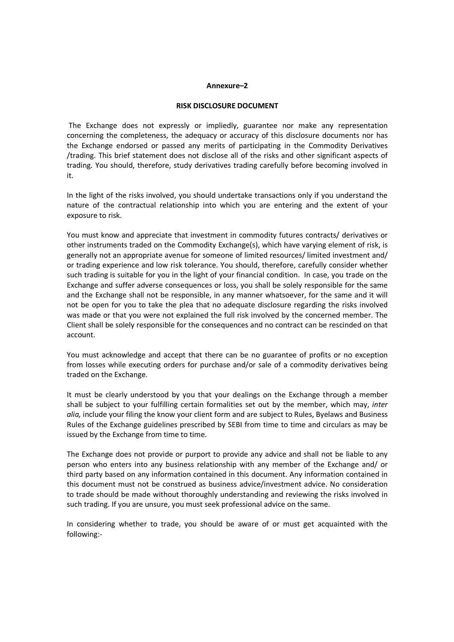#### **Annexure–2**

#### **RISK DISCLOSURE DOCUMENT**

 The Exchange does not expressly or impliedly, guarantee nor make any representation concerning the completeness, the adequacy or accuracy of this disclosure documents nor has the Exchange endorsed or passed any merits of participating in the Commodity Derivatives /trading. This brief statement does not disclose all of the risks and other significant aspects of trading. You should, therefore, study derivatives trading carefully before becoming involved in it.

In the light of the risks involved, you should undertake transactions only if you understand the nature of the contractual relationship into which you are entering and the extent of your exposure to risk.

You must know and appreciate that investment in commodity futures contracts/ derivatives or other instruments traded on the Commodity Exchange(s), which have varying element of risk, is generally not an appropriate avenue for someone of limited resources/ limited investment and/ or trading experience and low risk tolerance. You should, therefore, carefully consider whether such trading is suitable for you in the light of your financial condition. In case, you trade on the Exchange and suffer adverse consequences or loss, you shall be solely responsible for the same and the Exchange shall not be responsible, in any manner whatsoever, for the same and it will not be open for you to take the plea that no adequate disclosure regarding the risks involved was made or that you were not explained the full risk involved by the concerned member. The Client shall be solely responsible for the consequences and no contract can be rescinded on that account.

You must acknowledge and accept that there can be no guarantee of profits or no exception from losses while executing orders for purchase and/or sale of a commodity derivatives being traded on the Exchange.

It must be clearly understood by you that your dealings on the Exchange through a member shall be subject to your fulfilling certain formalities set out by the member, which may, *inter alia,* include your filing the know your client form and are subject to Rules, Byelaws and Business Rules of the Exchange guidelines prescribed by SEBI from time to time and circulars as may be issued by the Exchange from time to time.

The Exchange does not provide or purport to provide any advice and shall not be liable to any person who enters into any business relationship with any member of the Exchange and/ or third party based on any information contained in this document. Any information contained in this document must not be construed as business advice/investment advice. No consideration to trade should be made without thoroughly understanding and reviewing the risks involved in such trading. If you are unsure, you must seek professional advice on the same.

In considering whether to trade, you should be aware of or must get acquainted with the following:-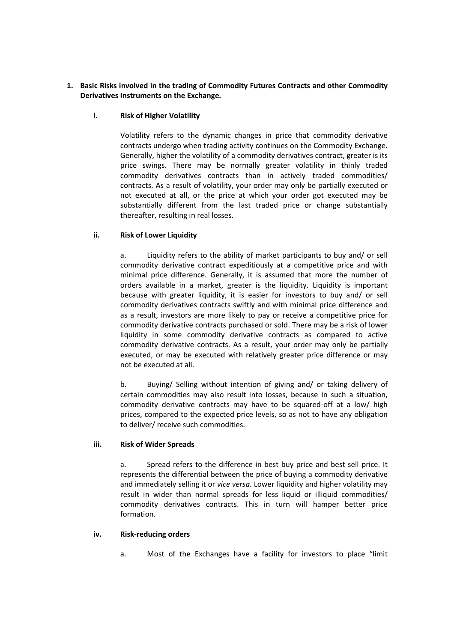# **1. Basic Risks involved in the trading of Commodity Futures Contracts and other Commodity Derivatives Instruments on the Exchange.**

# **i. Risk of Higher Volatility**

Volatility refers to the dynamic changes in price that commodity derivative contracts undergo when trading activity continues on the Commodity Exchange. Generally, higher the volatility of a commodity derivatives contract, greater is its price swings. There may be normally greater volatility in thinly traded commodity derivatives contracts than in actively traded commodities/ contracts. As a result of volatility, your order may only be partially executed or not executed at all, or the price at which your order got executed may be substantially different from the last traded price or change substantially thereafter, resulting in real losses.

# **ii. Risk of Lower Liquidity**

a. Liquidity refers to the ability of market participants to buy and/ or sell commodity derivative contract expeditiously at a competitive price and with minimal price difference. Generally, it is assumed that more the number of orders available in a market, greater is the liquidity. Liquidity is important because with greater liquidity, it is easier for investors to buy and/ or sell commodity derivatives contracts swiftly and with minimal price difference and as a result, investors are more likely to pay or receive a competitive price for commodity derivative contracts purchased or sold. There may be a risk of lower liquidity in some commodity derivative contracts as compared to active commodity derivative contracts. As a result, your order may only be partially executed, or may be executed with relatively greater price difference or may not be executed at all.

b. Buying/ Selling without intention of giving and/ or taking delivery of certain commodities may also result into losses, because in such a situation, commodity derivative contracts may have to be squared-off at a low/ high prices, compared to the expected price levels, so as not to have any obligation to deliver/ receive such commodities.

## **iii. Risk of Wider Spreads**

a. Spread refers to the difference in best buy price and best sell price. It represents the differential between the price of buying a commodity derivative and immediately selling it or *vice versa*. Lower liquidity and higher volatility may result in wider than normal spreads for less liquid or illiquid commodities/ commodity derivatives contracts. This in turn will hamper better price formation.

## **iv. Risk-reducing orders**

a. Most of the Exchanges have a facility for investors to place "limit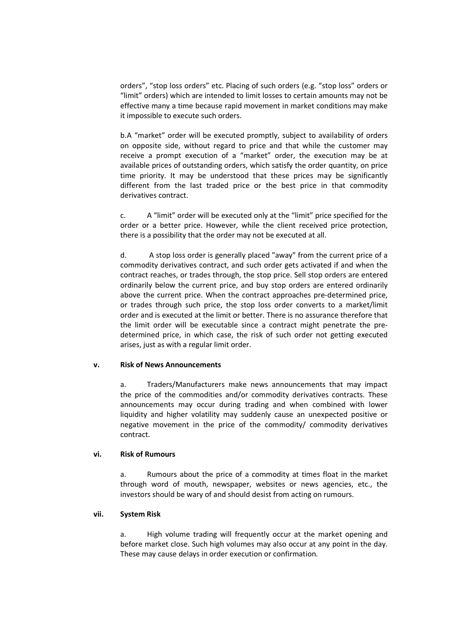orders", "stop loss orders" etc. Placing of such orders (e.g. "stop loss" orders or "limit" orders) which are intended to limit losses to certain amounts may not be effective many a time because rapid movement in market conditions may make it impossible to execute such orders.

b.A "market" order will be executed promptly, subject to availability of orders on opposite side, without regard to price and that while the customer may receive a prompt execution of a "market" order, the execution may be at available prices of outstanding orders, which satisfy the order quantity, on price time priority. It may be understood that these prices may be significantly different from the last traded price or the best price in that commodity derivatives contract.

c. A "limit" order will be executed only at the "limit" price specified for the order or a better price. However, while the client received price protection, there is a possibility that the order may not be executed at all.

d. A stop loss order is generally placed "away" from the current price of a commodity derivatives contract, and such order gets activated if and when the contract reaches, or trades through, the stop price. Sell stop orders are entered ordinarily below the current price, and buy stop orders are entered ordinarily above the current price. When the contract approaches pre-determined price, or trades through such price, the stop loss order converts to a market/limit order and is executed at the limit or better. There is no assurance therefore that the limit order will be executable since a contract might penetrate the predetermined price, in which case, the risk of such order not getting executed arises, just as with a regular limit order.

## **v. Risk of News Announcements**

a. Traders/Manufacturers make news announcements that may impact the price of the commodities and/or commodity derivatives contracts. These announcements may occur during trading and when combined with lower liquidity and higher volatility may suddenly cause an unexpected positive or negative movement in the price of the commodity/ commodity derivatives contract.

### **vi. Risk of Rumours**

a. Rumours about the price of a commodity at times float in the market through word of mouth, newspaper, websites or news agencies, etc., the investors should be wary of and should desist from acting on rumours.

## **vii. System Risk**

a. High volume trading will frequently occur at the market opening and before market close. Such high volumes may also occur at any point in the day. These may cause delays in order execution or confirmation.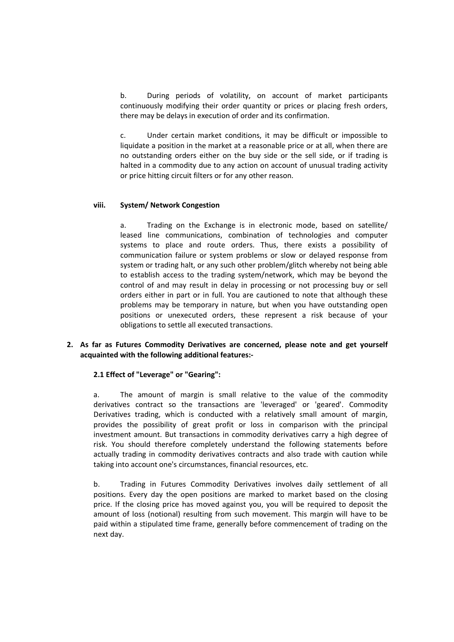b. During periods of volatility, on account of market participants continuously modifying their order quantity or prices or placing fresh orders, there may be delays in execution of order and its confirmation.

c. Under certain market conditions, it may be difficult or impossible to liquidate a position in the market at a reasonable price or at all, when there are no outstanding orders either on the buy side or the sell side, or if trading is halted in a commodity due to any action on account of unusual trading activity or price hitting circuit filters or for any other reason.

### **viii. System/ Network Congestion**

a. Trading on the Exchange is in electronic mode, based on satellite/ leased line communications, combination of technologies and computer systems to place and route orders. Thus, there exists a possibility of communication failure or system problems or slow or delayed response from system or trading halt, or any such other problem/glitch whereby not being able to establish access to the trading system/network, which may be beyond the control of and may result in delay in processing or not processing buy or sell orders either in part or in full. You are cautioned to note that although these problems may be temporary in nature, but when you have outstanding open positions or unexecuted orders, these represent a risk because of your obligations to settle all executed transactions.

## **2. As far as Futures Commodity Derivatives are concerned, please note and get yourself acquainted with the following additional features:-**

## **2.1 Effect of "Leverage" or "Gearing":**

a. The amount of margin is small relative to the value of the commodity derivatives contract so the transactions are 'leveraged' or 'geared'. Commodity Derivatives trading, which is conducted with a relatively small amount of margin, provides the possibility of great profit or loss in comparison with the principal investment amount. But transactions in commodity derivatives carry a high degree of risk. You should therefore completely understand the following statements before actually trading in commodity derivatives contracts and also trade with caution while taking into account one's circumstances, financial resources, etc.

b. Trading in Futures Commodity Derivatives involves daily settlement of all positions. Every day the open positions are marked to market based on the closing price. If the closing price has moved against you, you will be required to deposit the amount of loss (notional) resulting from such movement. This margin will have to be paid within a stipulated time frame, generally before commencement of trading on the next day.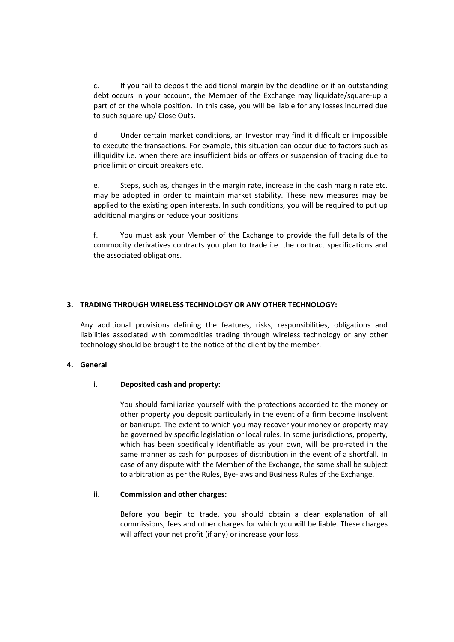c. If you fail to deposit the additional margin by the deadline or if an outstanding debt occurs in your account, the Member of the Exchange may liquidate/square-up a part of or the whole position. In this case, you will be liable for any losses incurred due to such square-up/ Close Outs.

d. Under certain market conditions, an Investor may find it difficult or impossible to execute the transactions. For example, this situation can occur due to factors such as illiquidity i.e. when there are insufficient bids or offers or suspension of trading due to price limit or circuit breakers etc.

e. Steps, such as, changes in the margin rate, increase in the cash margin rate etc. may be adopted in order to maintain market stability. These new measures may be applied to the existing open interests. In such conditions, you will be required to put up additional margins or reduce your positions.

f. You must ask your Member of the Exchange to provide the full details of the commodity derivatives contracts you plan to trade i.e. the contract specifications and the associated obligations.

# **3. TRADING THROUGH WIRELESS TECHNOLOGY OR ANY OTHER TECHNOLOGY:**

Any additional provisions defining the features, risks, responsibilities, obligations and liabilities associated with commodities trading through wireless technology or any other technology should be brought to the notice of the client by the member.

# **4. General**

## **i. Deposited cash and property:**

You should familiarize yourself with the protections accorded to the money or other property you deposit particularly in the event of a firm become insolvent or bankrupt. The extent to which you may recover your money or property may be governed by specific legislation or local rules. In some jurisdictions, property, which has been specifically identifiable as your own, will be pro-rated in the same manner as cash for purposes of distribution in the event of a shortfall. In case of any dispute with the Member of the Exchange, the same shall be subject to arbitration as per the Rules, Bye-laws and Business Rules of the Exchange.

## **ii. Commission and other charges:**

Before you begin to trade, you should obtain a clear explanation of all commissions, fees and other charges for which you will be liable. These charges will affect your net profit (if any) or increase your loss.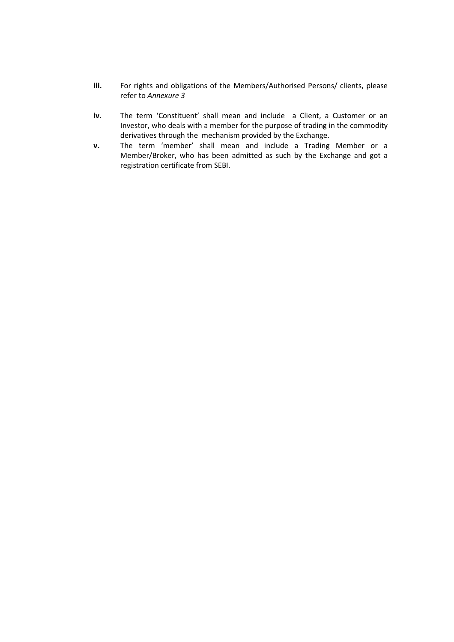- **iii.** For rights and obligations of the Members/Authorised Persons/ clients, please refer to *Annexure 3*
- **iv.** The term 'Constituent' shall mean and include a Client, a Customer or an Investor, who deals with a member for the purpose of trading in the commodity derivatives through the mechanism provided by the Exchange.
- **v.** The term 'member' shall mean and include a Trading Member or a Member/Broker, who has been admitted as such by the Exchange and got a registration certificate from SEBI.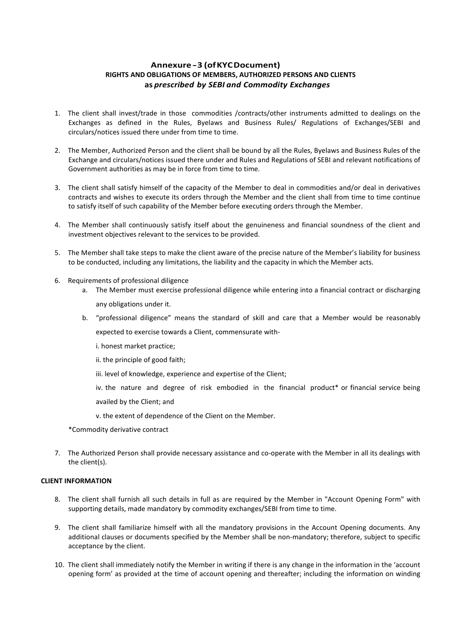# **Annexure - 3 (of KYC Document) RIGHTS AND OBLIGATIONS OF MEMBERS, AUTHORIZED PERSONS AND CLIENTS as** *prescribed by SEBI and Commodity Exchanges*

- 1. The client shall invest/trade in those commodities /contracts/other instruments admitted to dealings on the Exchanges as defined in the Rules, Byelaws and Business Rules/ Regulations of Exchanges/SEBI and circulars/notices issued there under from time to time.
- 2. The Member, Authorized Person and the client shall be bound by all the Rules, Byelaws and Business Rules of the Exchange and circulars/notices issued there under and Rules and Regulations of SEBI and relevant notifications of Government authorities as may be in force from time to time.
- 3. The client shall satisfy himself of the capacity of the Member to deal in commodities and/or deal in derivatives contracts and wishes to execute its orders through the Member and the client shall from time to time continue to satisfy itself of such capability of the Member before executing orders through the Member.
- 4. The Member shall continuously satisfy itself about the genuineness and financial soundness of the client and investment objectives relevant to the services to be provided.
- 5. The Member shall take steps to make the client aware of the precise nature of the Member's liability for business to be conducted, including any limitations, the liability and the capacity in which the Member acts.
- 6. Requirements of professional diligence
	- a. The Member must exercise professional diligence while entering into a financial contract or discharging any obligations under it.
	- b. "professional diligence" means the standard of skill and care that a Member would be reasonably expected to exercise towards a Client, commensurate with
		- i. honest market practice;
		- ii. the principle of good faith;
		- iii. level of knowledge, experience and expertise of the Client;
		- iv. the nature and degree of risk embodied in the financial product\* or financial service being availed by the Client; and
		- v. the extent of dependence of the Client on the Member.

\*Commodity derivative contract

7. The Authorized Person shall provide necessary assistance and co-operate with the Member in all its dealings with the client(s).

#### **CLIENT INFORMATION**

- 8. The client shall furnish all such details in full as are required by the Member in "Account Opening Form" with supporting details, made mandatory by commodity exchanges/SEBI from time to time.
- 9. The client shall familiarize himself with all the mandatory provisions in the Account Opening documents. Any additional clauses or documents specified by the Member shall be non-mandatory; therefore, subject to specific acceptance by the client.
- 10. The client shall immediately notify the Member in writing if there is any change in the information in the 'account opening form' as provided at the time of account opening and thereafter; including the information on winding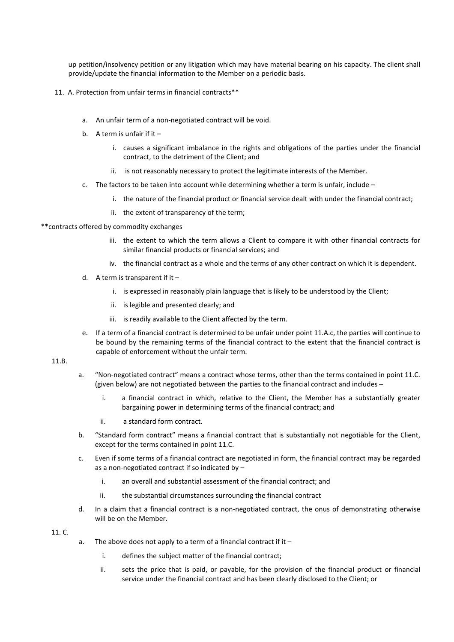up petition/insolvency petition or any litigation which may have material bearing on his capacity. The client shall provide/update the financial information to the Member on a periodic basis.

- 11. A. Protection from unfair terms in financial contracts\*\*
	- a. An unfair term of a non-negotiated contract will be void.
	- b. A term is unfair if it  $$ 
		- i. causes a significant imbalance in the rights and obligations of the parties under the financial contract, to the detriment of the Client; and
		- ii. is not reasonably necessary to protect the legitimate interests of the Member.
	- c. The factors to be taken into account while determining whether a term is unfair, include
		- i. the nature of the financial product or financial service dealt with under the financial contract;
		- ii. the extent of transparency of the term;
- \*\*contracts offered by commodity exchanges
	- iii. the extent to which the term allows a Client to compare it with other financial contracts for similar financial products or financial services; and
	- iv. the financial contract as a whole and the terms of any other contract on which it is dependent.
	- d. A term is transparent if it
		- i. is expressed in reasonably plain language that is likely to be understood by the Client;
		- ii. is legible and presented clearly; and
		- iii. is readily available to the Client affected by the term.
	- e. If a term of a financial contract is determined to be unfair under point 11.A.c, the parties will continue to be bound by the remaining terms of the financial contract to the extent that the financial contract is capable of enforcement without the unfair term.

11.B.

- a. "Non-negotiated contract" means a contract whose terms, other than the terms contained in point 11.C. (given below) are not negotiated between the parties to the financial contract and includes –
	- i. a financial contract in which, relative to the Client, the Member has a substantially greater bargaining power in determining terms of the financial contract; and
	- ii. a standard form contract.
- b. "Standard form contract" means a financial contract that is substantially not negotiable for the Client, except for the terms contained in point 11.C.
- c. Even if some terms of a financial contract are negotiated in form, the financial contract may be regarded as a non-negotiated contract if so indicated by –
	- i. an overall and substantial assessment of the financial contract; and
	- ii. the substantial circumstances surrounding the financial contract
- d. In a claim that a financial contract is a non-negotiated contract, the onus of demonstrating otherwise will be on the Member.

11. C.

- a. The above does not apply to a term of a financial contract if it  $$ 
	- i. defines the subject matter of the financial contract;
	- ii. sets the price that is paid, or payable, for the provision of the financial product or financial service under the financial contract and has been clearly disclosed to the Client; or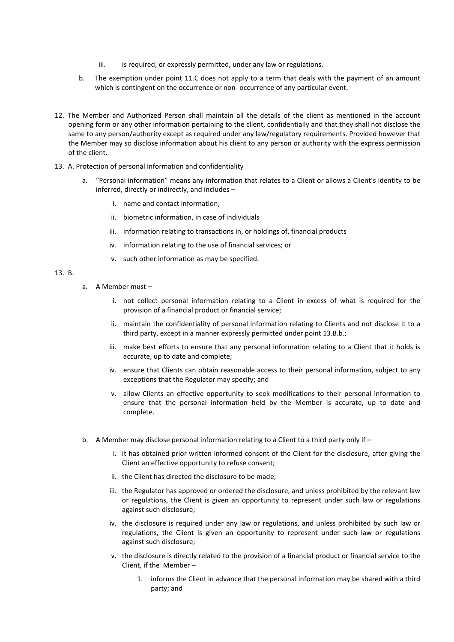- iii. is required, or expressly permitted, under any law or regulations.
- b. The exemption under point 11.C does not apply to a term that deals with the payment of an amount which is contingent on the occurrence or non-occurrence of any particular event.
- 12. The Member and Authorized Person shall maintain all the details of the client as mentioned in the account opening form or any other information pertaining to the client, confidentially and that they shall not disclose the same to any person/authority except as required under any law/regulatory requirements. Provided however that the Member may so disclose information about his client to any person or authority with the express permission of the client.
- 13. A. Protection of personal information and confidentiality
	- a. "Personal information" means any information that relates to a Client or allows a Client's identity to be inferred, directly or indirectly, and includes –
		- i. name and contact information;
		- ii. biometric information, in case of individuals
		- iii. information relating to transactions in, or holdings of, financial products
		- iv. information relating to the use of financial services; or
		- v. such other information as may be specified.

## 13. B.

- a. A Member must
	- i. not collect personal information relating to a Client in excess of what is required for the provision of a financial product or financial service;
	- ii. maintain the confidentiality of personal information relating to Clients and not disclose it to a third party, except in a manner expressly permitted under point 13.B.b.;
	- iii. make best efforts to ensure that any personal information relating to a Client that it holds is accurate, up to date and complete;
	- iv. ensure that Clients can obtain reasonable access to their personal information, subject to any exceptions that the Regulator may specify; and
	- v. allow Clients an effective opportunity to seek modifications to their personal information to ensure that the personal information held by the Member is accurate, up to date and complete.
- b. A Member may disclose personal information relating to a Client to a third party only if
	- i. it has obtained prior written informed consent of the Client for the disclosure, after giving the Client an effective opportunity to refuse consent;
	- ii. the Client has directed the disclosure to be made;
	- iii. the Regulator has approved or ordered the disclosure, and unless prohibited by the relevant law or regulations, the Client is given an opportunity to represent under such law or regulations against such disclosure;
	- iv. the disclosure is required under any law or regulations, and unless prohibited by such law or regulations, the Client is given an opportunity to represent under such law or regulations against such disclosure;
	- v. the disclosure is directly related to the provision of a financial product or financial service to the Client, if the Member –
		- 1. informs the Client in advance that the personal information may be shared with a third party; and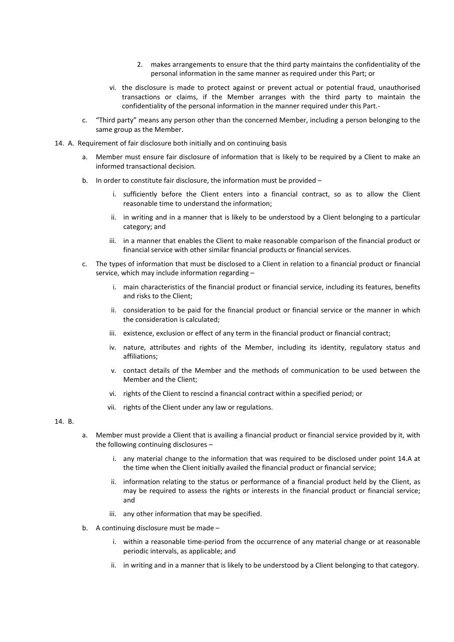- 2. makes arrangements to ensure that the third party maintains the confidentiality of the personal information in the same manner as required under this Part; or
- vi. the disclosure is made to protect against or prevent actual or potential fraud, unauthorised transactions or claims, if the Member arranges with the third party to maintain the confidentiality of the personal information in the manner required under this Part.-
- c. "Third party" means any person other than the concerned Member, including a person belonging to the same group as the Member.
- 14. A. Requirement of fair disclosure both initially and on continuing basis
	- a. Member must ensure fair disclosure of information that is likely to be required by a Client to make an informed transactional decision.
	- b. In order to constitute fair disclosure, the information must be provided
		- i. sufficiently before the Client enters into a financial contract, so as to allow the Client reasonable time to understand the information;
		- ii. in writing and in a manner that is likely to be understood by a Client belonging to a particular category; and
		- iii. in a manner that enables the Client to make reasonable comparison of the financial product or financial service with other similar financial products or financial services.
	- c. The types of information that must be disclosed to a Client in relation to a financial product or financial service, which may include information regarding –
		- i. main characteristics of the financial product or financial service, including its features, benefits and risks to the Client;
		- ii. consideration to be paid for the financial product or financial service or the manner in which the consideration is calculated;
		- iii. existence, exclusion or effect of any term in the financial product or financial contract;
		- iv. nature, attributes and rights of the Member, including its identity, regulatory status and affiliations;
		- v. contact details of the Member and the methods of communication to be used between the Member and the Client;
		- vi. rights of the Client to rescind a financial contract within a specified period; or
		- vii. rights of the Client under any law or regulations.

### 14. B.

- a. Member must provide a Client that is availing a financial product or financial service provided by it, with the following continuing disclosures –
	- i. any material change to the information that was required to be disclosed under point 14.A at the time when the Client initially availed the financial product or financial service;
	- ii. information relating to the status or performance of a financial product held by the Client, as may be required to assess the rights or interests in the financial product or financial service; and
	- iii. any other information that may be specified.
- b. A continuing disclosure must be made
	- i. within a reasonable time-period from the occurrence of any material change or at reasonable periodic intervals, as applicable; and
	- ii. in writing and in a manner that is likely to be understood by a Client belonging to that category.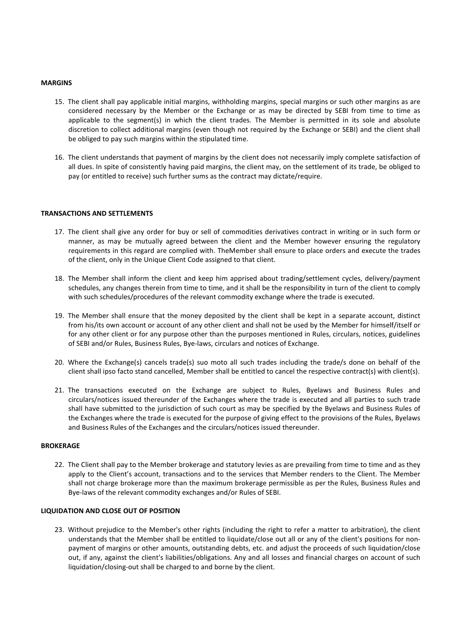#### **MARGINS**

- 15. The client shall pay applicable initial margins, withholding margins, special margins or such other margins as are considered necessary by the Member or the Exchange or as may be directed by SEBI from time to time as applicable to the segment(s) in which the client trades. The Member is permitted in its sole and absolute discretion to collect additional margins (even though not required by the Exchange or SEBI) and the client shall be obliged to pay such margins within the stipulated time.
- 16. The client understands that payment of margins by the client does not necessarily imply complete satisfaction of all dues. In spite of consistently having paid margins, the client may, on the settlement of its trade, be obliged to pay (or entitled to receive) such further sums as the contract may dictate/require.

#### **TRANSACTIONS AND SETTLEMENTS**

- 17. The client shall give any order for buy or sell of commodities derivatives contract in writing or in such form or manner, as may be mutually agreed between the client and the Member however ensuring the regulatory requirements in this regard are complied with. TheMember shall ensure to place orders and execute the trades of the client, only in the Unique Client Code assigned to that client.
- 18. The Member shall inform the client and keep him apprised about trading/settlement cycles, delivery/payment schedules, any changes therein from time to time, and it shall be the responsibility in turn of the client to comply with such schedules/procedures of the relevant commodity exchange where the trade is executed.
- 19. The Member shall ensure that the money deposited by the client shall be kept in a separate account, distinct from his/its own account or account of any other client and shall not be used by the Member for himself/itself or for any other client or for any purpose other than the purposes mentioned in Rules, circulars, notices, guidelines of SEBI and/or Rules, Business Rules, Bye-laws, circulars and notices of Exchange.
- 20. Where the Exchange(s) cancels trade(s) suo moto all such trades including the trade/s done on behalf of the client shall ipso facto stand cancelled, Member shall be entitled to cancel the respective contract(s) with client(s).
- 21. The transactions executed on the Exchange are subject to Rules, Byelaws and Business Rules and circulars/notices issued thereunder of the Exchanges where the trade is executed and all parties to such trade shall have submitted to the jurisdiction of such court as may be specified by the Byelaws and Business Rules of the Exchanges where the trade is executed for the purpose of giving effect to the provisions of the Rules, Byelaws and Business Rules of the Exchanges and the circulars/notices issued thereunder.

#### **BROKERAGE**

22. The Client shall pay to the Member brokerage and statutory levies as are prevailing from time to time and as they apply to the Client's account, transactions and to the services that Member renders to the Client. The Member shall not charge brokerage more than the maximum brokerage permissible as per the Rules, Business Rules and Bye-laws of the relevant commodity exchanges and/or Rules of SEBI.

#### **LIQUIDATION AND CLOSE OUT OF POSITION**

23. Without prejudice to the Member's other rights (including the right to refer a matter to arbitration), the client understands that the Member shall be entitled to liquidate/close out all or any of the client's positions for nonpayment of margins or other amounts, outstanding debts, etc. and adjust the proceeds of such liquidation/close out, if any, against the client's liabilities/obligations. Any and all losses and financial charges on account of such liquidation/closing-out shall be charged to and borne by the client.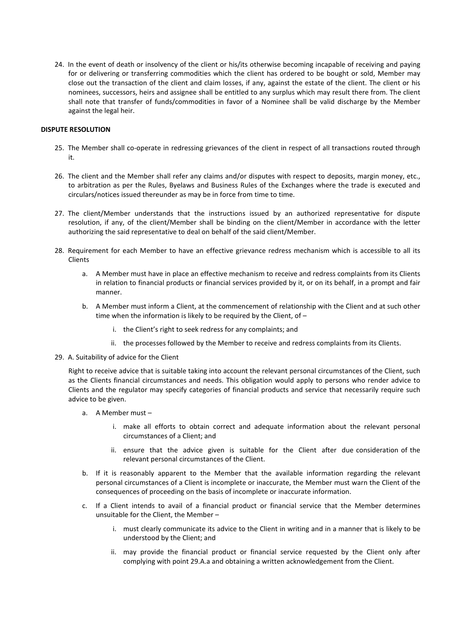24. In the event of death or insolvency of the client or his/its otherwise becoming incapable of receiving and paying for or delivering or transferring commodities which the client has ordered to be bought or sold, Member may close out the transaction of the client and claim losses, if any, against the estate of the client. The client or his nominees, successors, heirs and assignee shall be entitled to any surplus which may result there from. The client shall note that transfer of funds/commodities in favor of a Nominee shall be valid discharge by the Member against the legal heir.

#### **DISPUTE RESOLUTION**

- 25. The Member shall co-operate in redressing grievances of the client in respect of all transactions routed through it.
- 26. The client and the Member shall refer any claims and/or disputes with respect to deposits, margin money, etc., to arbitration as per the Rules, Byelaws and Business Rules of the Exchanges where the trade is executed and circulars/notices issued thereunder as may be in force from time to time.
- 27. The client/Member understands that the instructions issued by an authorized representative for dispute resolution, if any, of the client/Member shall be binding on the client/Member in accordance with the letter authorizing the said representative to deal on behalf of the said client/Member.
- 28. Requirement for each Member to have an effective grievance redress mechanism which is accessible to all its Clients
	- a. A Member must have in place an effective mechanism to receive and redress complaints from its Clients in relation to financial products or financial services provided by it, or on its behalf, in a prompt and fair manner.
	- b. A Member must inform a Client, at the commencement of relationship with the Client and at such other time when the information is likely to be required by the Client, of –
		- i. the Client's right to seek redress for any complaints; and
		- ii. the processes followed by the Member to receive and redress complaints from its Clients.
- 29. A. Suitability of advice for the Client

Right to receive advice that is suitable taking into account the relevant personal circumstances of the Client, such as the Clients financial circumstances and needs. This obligation would apply to persons who render advice to Clients and the regulator may specify categories of financial products and service that necessarily require such advice to be given.

- a. A Member must
	- i. make all efforts to obtain correct and adequate information about the relevant personal circumstances of a Client; and
	- ii. ensure that the advice given is suitable for the Client after due consideration of the relevant personal circumstances of the Client.
- b. If it is reasonably apparent to the Member that the available information regarding the relevant personal circumstances of a Client is incomplete or inaccurate, the Member must warn the Client of the consequences of proceeding on the basis of incomplete or inaccurate information.
- c. If a Client intends to avail of a financial product or financial service that the Member determines unsuitable for the Client, the Member –
	- i. must clearly communicate its advice to the Client in writing and in a manner that is likely to be understood by the Client; and
	- ii. may provide the financial product or financial service requested by the Client only after complying with point 29.A.a and obtaining a written acknowledgement from the Client.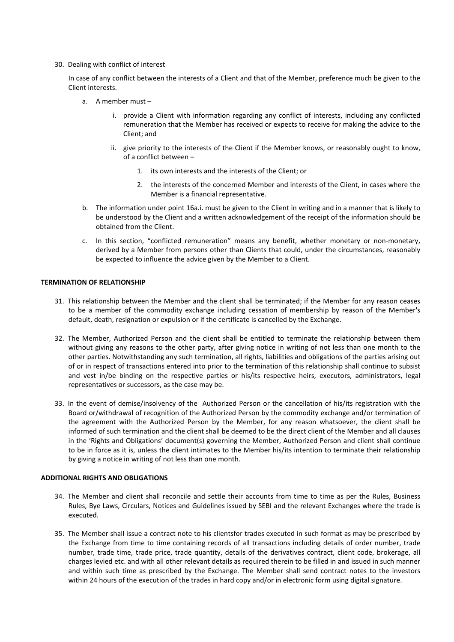#### 30. Dealing with conflict of interest

In case of any conflict between the interests of a Client and that of the Member, preference much be given to the Client interests.

- a. A member must
	- i. provide a Client with information regarding any conflict of interests, including any conflicted remuneration that the Member has received or expects to receive for making the advice to the Client; and
	- ii. give priority to the interests of the Client if the Member knows, or reasonably ought to know, of a conflict between –
		- 1. its own interests and the interests of the Client; or
		- 2. the interests of the concerned Member and interests of the Client, in cases where the Member is a financial representative.
- b. The information under point 16a.i. must be given to the Client in writing and in a manner that is likely to be understood by the Client and a written acknowledgement of the receipt of the information should be obtained from the Client.
- c. In this section, "conflicted remuneration" means any benefit, whether monetary or non-monetary, derived by a Member from persons other than Clients that could, under the circumstances, reasonably be expected to influence the advice given by the Member to a Client.

#### **TERMINATION OF RELATIONSHIP**

- 31. This relationship between the Member and the client shall be terminated; if the Member for any reason ceases to be a member of the commodity exchange including cessation of membership by reason of the Member's default, death, resignation or expulsion or if the certificate is cancelled by the Exchange.
- 32. The Member, Authorized Person and the client shall be entitled to terminate the relationship between them without giving any reasons to the other party, after giving notice in writing of not less than one month to the other parties. Notwithstanding any such termination, all rights, liabilities and obligations of the parties arising out of or in respect of transactions entered into prior to the termination of this relationship shall continue to subsist and vest in/be binding on the respective parties or his/its respective heirs, executors, administrators, legal representatives or successors, as the case may be.
- 33. In the event of demise/insolvency of the Authorized Person or the cancellation of his/its registration with the Board or/withdrawal of recognition of the Authorized Person by the commodity exchange and/or termination of the agreement with the Authorized Person by the Member, for any reason whatsoever, the client shall be informed of such termination and the client shall be deemed to be the direct client of the Member and all clauses in the 'Rights and Obligations' document(s) governing the Member, Authorized Person and client shall continue to be in force as it is, unless the client intimates to the Member his/its intention to terminate their relationship by giving a notice in writing of not less than one month.

#### **ADDITIONAL RIGHTS AND OBLIGATIONS**

- 34. The Member and client shall reconcile and settle their accounts from time to time as per the Rules, Business Rules, Bye Laws, Circulars, Notices and Guidelines issued by SEBI and the relevant Exchanges where the trade is executed.
- 35. The Member shall issue a contract note to his clientsfor trades executed in such format as may be prescribed by the Exchange from time to time containing records of all transactions including details of order number, trade number, trade time, trade price, trade quantity, details of the derivatives contract, client code, brokerage, all charges levied etc. and with all other relevant details as required therein to be filled in and issued in such manner and within such time as prescribed by the Exchange. The Member shall send contract notes to the investors within 24 hours of the execution of the trades in hard copy and/or in electronic form using digital signature.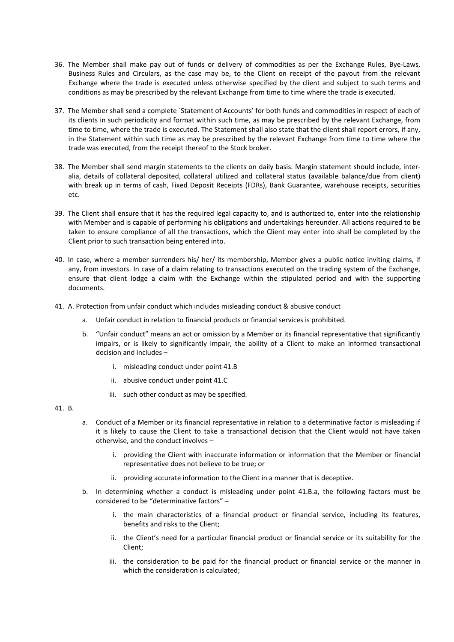- 36. The Member shall make pay out of funds or delivery of commodities as per the Exchange Rules, Bye-Laws, Business Rules and Circulars, as the case may be, to the Client on receipt of the payout from the relevant Exchange where the trade is executed unless otherwise specified by the client and subject to such terms and conditions as may be prescribed by the relevant Exchange from time to time where the trade is executed.
- 37. The Member shall send a complete `Statement of Accounts' for both funds and commodities in respect of each of its clients in such periodicity and format within such time, as may be prescribed by the relevant Exchange, from time to time, where the trade is executed. The Statement shall also state that the client shall report errors, if any, in the Statement within such time as may be prescribed by the relevant Exchange from time to time where the trade was executed, from the receipt thereof to the Stock broker.
- 38. The Member shall send margin statements to the clients on daily basis. Margin statement should include, interalia, details of collateral deposited, collateral utilized and collateral status (available balance/due from client) with break up in terms of cash, Fixed Deposit Receipts (FDRs), Bank Guarantee, warehouse receipts, securities etc.
- 39. The Client shall ensure that it has the required legal capacity to, and is authorized to, enter into the relationship with Member and is capable of performing his obligations and undertakings hereunder. All actions required to be taken to ensure compliance of all the transactions, which the Client may enter into shall be completed by the Client prior to such transaction being entered into.
- 40. In case, where a member surrenders his/ her/ its membership, Member gives a public notice inviting claims, if any, from investors. In case of a claim relating to transactions executed on the trading system of the Exchange, ensure that client lodge a claim with the Exchange within the stipulated period and with the supporting documents.
- 41. A. Protection from unfair conduct which includes misleading conduct & abusive conduct
	- a. Unfair conduct in relation to financial products or financial services is prohibited.
	- b. "Unfair conduct" means an act or omission by a Member or its financial representative that significantly impairs, or is likely to significantly impair, the ability of a Client to make an informed transactional decision and includes –
		- i. misleading conduct under point 41.B
		- ii. abusive conduct under point 41.C
		- iii. such other conduct as may be specified.

#### 41. B.

- a. Conduct of a Member or its financial representative in relation to a determinative factor is misleading if it is likely to cause the Client to take a transactional decision that the Client would not have taken otherwise, and the conduct involves –
	- i. providing the Client with inaccurate information or information that the Member or financial representative does not believe to be true; or
	- ii. providing accurate information to the Client in a manner that is deceptive.
- b. In determining whether a conduct is misleading under point 41.B.a, the following factors must be considered to be "determinative factors" –
	- i. the main characteristics of a financial product or financial service, including its features, benefits and risks to the Client;
	- ii. the Client's need for a particular financial product or financial service or its suitability for the Client;
	- iii. the consideration to be paid for the financial product or financial service or the manner in which the consideration is calculated;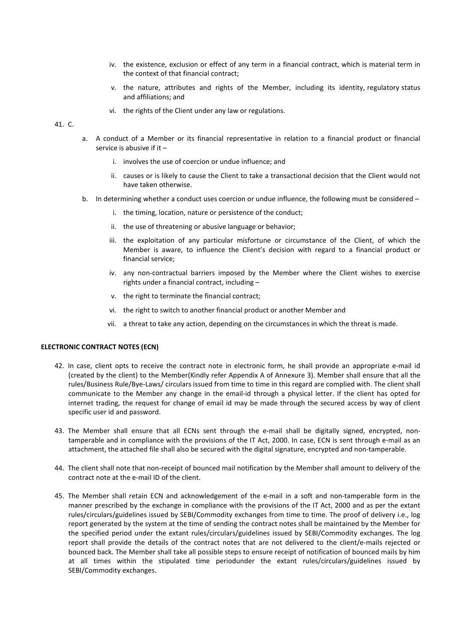- iv. the existence, exclusion or effect of any term in a financial contract, which is material term in the context of that financial contract;
- v. the nature, attributes and rights of the Member, including its identity, regulatory status and affiliations; and
- vi. the rights of the Client under any law or regulations.

#### 41. C.

- a. A conduct of a Member or its financial representative in relation to a financial product or financial service is abusive if it –
	- i. involves the use of coercion or undue influence; and
	- ii. causes or is likely to cause the Client to take a transactional decision that the Client would not have taken otherwise.
- b. In determining whether a conduct uses coercion or undue influence, the following must be considered
	- i. the timing, location, nature or persistence of the conduct;
	- ii. the use of threatening or abusive language or behavior;
	- iii. the exploitation of any particular misfortune or circumstance of the Client, of which the Member is aware, to influence the Client's decision with regard to a financial product or financial service;
	- iv. any non-contractual barriers imposed by the Member where the Client wishes to exercise rights under a financial contract, including –
	- v. the right to terminate the financial contract;
	- vi. the right to switch to another financial product or another Member and
	- vii. a threat to take any action, depending on the circumstances in which the threat is made.

#### **ELECTRONIC CONTRACT NOTES (ECN)**

- 42. In case, client opts to receive the contract note in electronic form, he shall provide an appropriate e-mail id (created by the client) to the Member(Kindly refer Appendix A of Annexure 3). Member shall ensure that all the rules/Business Rule/Bye-Laws/ circulars issued from time to time in this regard are complied with. The client shall communicate to the Member any change in the email-id through a physical letter. If the client has opted for internet trading, the request for change of email id may be made through the secured access by way of client specific user id and password.
- 43. The Member shall ensure that all ECNs sent through the e-mail shall be digitally signed, encrypted, nontamperable and in compliance with the provisions of the IT Act, 2000. In case, ECN is sent through e-mail as an attachment, the attached file shall also be secured with the digital signature, encrypted and non-tamperable.
- 44. The client shall note that non-receipt of bounced mail notification by the Member shall amount to delivery of the contract note at the e-mail ID of the client.
- 45. The Member shall retain ECN and acknowledgement of the e-mail in a soft and non-tamperable form in the manner prescribed by the exchange in compliance with the provisions of the IT Act, 2000 and as per the extant rules/circulars/guidelines issued by SEBI/Commodity exchanges from time to time. The proof of delivery i.e., log report generated by the system at the time of sending the contract notes shall be maintained by the Member for the specified period under the extant rules/circulars/guidelines issued by SEBI/Commodity exchanges. The log report shall provide the details of the contract notes that are not delivered to the client/e-mails rejected or bounced back. The Member shall take all possible steps to ensure receipt of notification of bounced mails by him at all times within the stipulated time periodunder the extant rules/circulars/guidelines issued by SEBI/Commodity exchanges.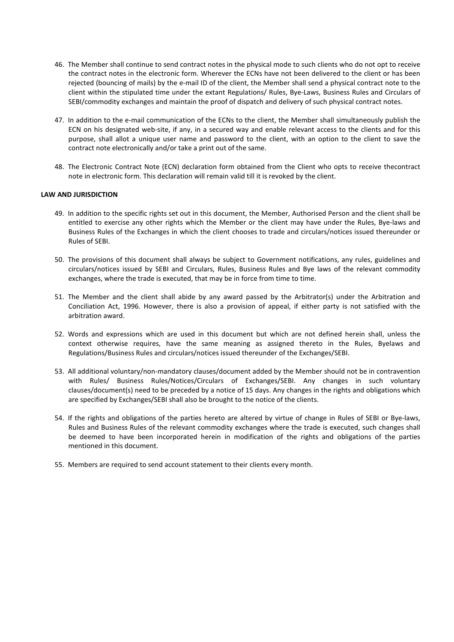- 46. The Member shall continue to send contract notes in the physical mode to such clients who do not opt to receive the contract notes in the electronic form. Wherever the ECNs have not been delivered to the client or has been rejected (bouncing of mails) by the e-mail ID of the client, the Member shall send a physical contract note to the client within the stipulated time under the extant Regulations/ Rules, Bye-Laws, Business Rules and Circulars of SEBI/commodity exchanges and maintain the proof of dispatch and delivery of such physical contract notes.
- 47. In addition to the e-mail communication of the ECNs to the client, the Member shall simultaneously publish the ECN on his designated web-site, if any, in a secured way and enable relevant access to the clients and for this purpose, shall allot a unique user name and password to the client, with an option to the client to save the contract note electronically and/or take a print out of the same.
- 48. The Electronic Contract Note (ECN) declaration form obtained from the Client who opts to receive thecontract note in electronic form. This declaration will remain valid till it is revoked by the client.

#### **LAW AND JURISDICTION**

- 49. In addition to the specific rights set out in this document, the Member, Authorised Person and the client shall be entitled to exercise any other rights which the Member or the client may have under the Rules, Bye-laws and Business Rules of the Exchanges in which the client chooses to trade and circulars/notices issued thereunder or Rules of SEBI.
- 50. The provisions of this document shall always be subject to Government notifications, any rules, guidelines and circulars/notices issued by SEBI and Circulars, Rules, Business Rules and Bye laws of the relevant commodity exchanges, where the trade is executed, that may be in force from time to time.
- 51. The Member and the client shall abide by any award passed by the Arbitrator(s) under the Arbitration and Conciliation Act, 1996. However, there is also a provision of appeal, if either party is not satisfied with the arbitration award.
- 52. Words and expressions which are used in this document but which are not defined herein shall, unless the context otherwise requires, have the same meaning as assigned thereto in the Rules, Byelaws and Regulations/Business Rules and circulars/notices issued thereunder of the Exchanges/SEBI.
- 53. All additional voluntary/non-mandatory clauses/document added by the Member should not be in contravention with Rules/ Business Rules/Notices/Circulars of Exchanges/SEBI. Any changes in such voluntary clauses/document(s) need to be preceded by a notice of 15 days. Any changes in the rights and obligations which are specified by Exchanges/SEBI shall also be brought to the notice of the clients.
- 54. If the rights and obligations of the parties hereto are altered by virtue of change in Rules of SEBI or Bye-laws, Rules and Business Rules of the relevant commodity exchanges where the trade is executed, such changes shall be deemed to have been incorporated herein in modification of the rights and obligations of the parties mentioned in this document.
- 55. Members are required to send account statement to their clients every month.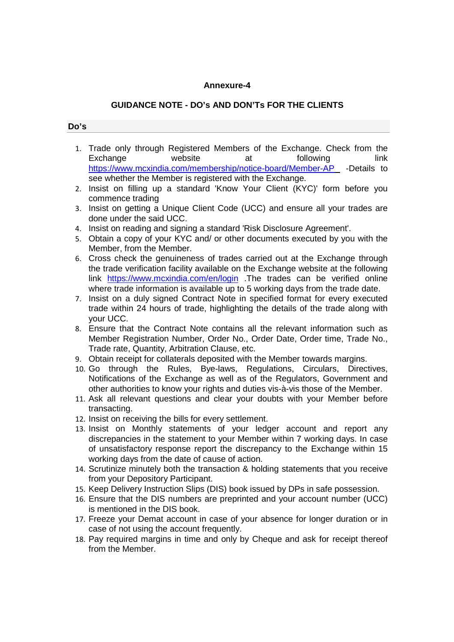## **Annexure-4**

# **GUIDANCE NOTE - DO's AND DON'Ts FOR THE CLIENTS**

## **Do's**

- 1. Trade only through Registered Members of the Exchange. Check from the Exchange website at following link https://www.mcxindia.com/membership/notice-board/Member-AP -Details to see whether the Member is registered with the Exchange.
- 2. Insist on filling up a standard 'Know Your Client (KYC)' form before you commence trading
- 3. Insist on getting a Unique Client Code (UCC) and ensure all your trades are done under the said UCC.
- 4. Insist on reading and signing a standard 'Risk Disclosure Agreement'.
- 5. Obtain a copy of your KYC and/ or other documents executed by you with the Member, from the Member.
- 6. Cross check the genuineness of trades carried out at the Exchange through the trade verification facility available on the Exchange website at the following link https://www.mcxindia.com/en/login .The trades can be verified online where trade information is available up to 5 working days from the trade date.
- 7. Insist on a duly signed Contract Note in specified format for every executed trade within 24 hours of trade, highlighting the details of the trade along with your UCC.
- 8. Ensure that the Contract Note contains all the relevant information such as Member Registration Number, Order No., Order Date, Order time, Trade No., Trade rate, Quantity, Arbitration Clause, etc.
- 9. Obtain receipt for collaterals deposited with the Member towards margins.
- 10. Go through the Rules, Bye-laws, Regulations, Circulars, Directives, Notifications of the Exchange as well as of the Regulators, Government and other authorities to know your rights and duties vis-à-vis those of the Member.
- 11. Ask all relevant questions and clear your doubts with your Member before transacting.
- 12. Insist on receiving the bills for every settlement.
- 13. Insist on Monthly statements of your ledger account and report any discrepancies in the statement to your Member within 7 working days. In case of unsatisfactory response report the discrepancy to the Exchange within 15 working days from the date of cause of action.
- 14. Scrutinize minutely both the transaction & holding statements that you receive from your Depository Participant.
- 15. Keep Delivery Instruction Slips (DIS) book issued by DPs in safe possession.
- 16. Ensure that the DIS numbers are preprinted and your account number (UCC) is mentioned in the DIS book.
- 17. Freeze your Demat account in case of your absence for longer duration or in case of not using the account frequently.
- 18. Pay required margins in time and only by Cheque and ask for receipt thereof from the Member.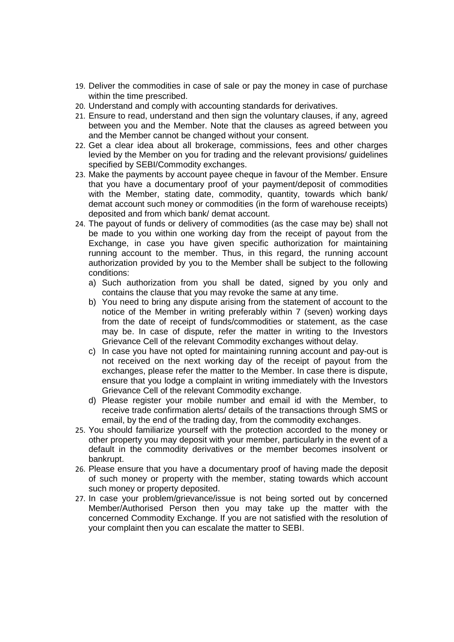- 19. Deliver the commodities in case of sale or pay the money in case of purchase within the time prescribed.
- 20. Understand and comply with accounting standards for derivatives.
- 21. Ensure to read, understand and then sign the voluntary clauses, if any, agreed between you and the Member. Note that the clauses as agreed between you and the Member cannot be changed without your consent.
- 22. Get a clear idea about all brokerage, commissions, fees and other charges levied by the Member on you for trading and the relevant provisions/ guidelines specified by SEBI/Commodity exchanges.
- 23. Make the payments by account payee cheque in favour of the Member. Ensure that you have a documentary proof of your payment/deposit of commodities with the Member, stating date, commodity, quantity, towards which bank/ demat account such money or commodities (in the form of warehouse receipts) deposited and from which bank/ demat account.
- 24. The payout of funds or delivery of commodities (as the case may be) shall not be made to you within one working day from the receipt of payout from the Exchange, in case you have given specific authorization for maintaining running account to the member. Thus, in this regard, the running account authorization provided by you to the Member shall be subject to the following conditions:
	- a) Such authorization from you shall be dated, signed by you only and contains the clause that you may revoke the same at any time.
	- b) You need to bring any dispute arising from the statement of account to the notice of the Member in writing preferably within 7 (seven) working days from the date of receipt of funds/commodities or statement, as the case may be. In case of dispute, refer the matter in writing to the Investors Grievance Cell of the relevant Commodity exchanges without delay.
	- c) In case you have not opted for maintaining running account and pay-out is not received on the next working day of the receipt of payout from the exchanges, please refer the matter to the Member. In case there is dispute, ensure that you lodge a complaint in writing immediately with the Investors Grievance Cell of the relevant Commodity exchange.
	- d) Please register your mobile number and email id with the Member, to receive trade confirmation alerts/ details of the transactions through SMS or email, by the end of the trading day, from the commodity exchanges.
- 25. You should familiarize yourself with the protection accorded to the money or other property you may deposit with your member, particularly in the event of a default in the commodity derivatives or the member becomes insolvent or bankrupt.
- 26. Please ensure that you have a documentary proof of having made the deposit of such money or property with the member, stating towards which account such money or property deposited.
- 27. In case your problem/grievance/issue is not being sorted out by concerned Member/Authorised Person then you may take up the matter with the concerned Commodity Exchange. If you are not satisfied with the resolution of your complaint then you can escalate the matter to SEBI.